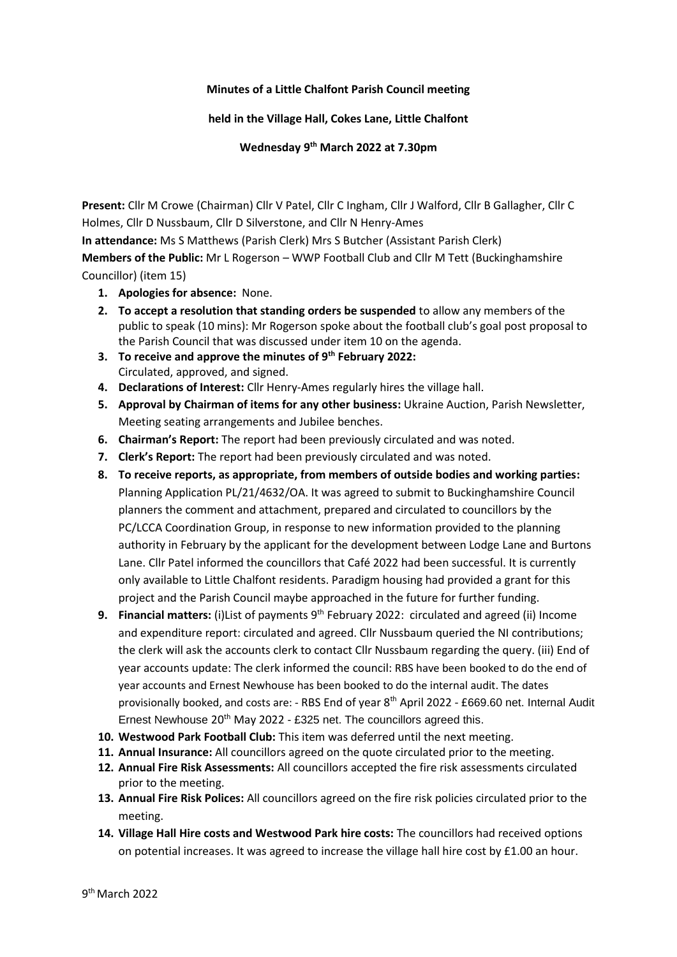## **Minutes of a Little Chalfont Parish Council meeting**

**held in the Village Hall, Cokes Lane, Little Chalfont**

**Wednesday 9 th March 2022 at 7.30pm**

**Present:** Cllr M Crowe (Chairman) Cllr V Patel, Cllr C Ingham, Cllr J Walford, Cllr B Gallagher, Cllr C Holmes, Cllr D Nussbaum, Cllr D Silverstone, and Cllr N Henry-Ames

**In attendance:** Ms S Matthews (Parish Clerk) Mrs S Butcher (Assistant Parish Clerk)

**Members of the Public:** Mr L Rogerson – WWP Football Club and Cllr M Tett (Buckinghamshire Councillor) (item 15)

- **1. Apologies for absence:** None.
- **2. To accept a resolution that standing orders be suspended** to allow any members of the public to speak (10 mins): Mr Rogerson spoke about the football club's goal post proposal to the Parish Council that was discussed under item 10 on the agenda.
- **3. To receive and approve the minutes of 9 th February 2022:**  Circulated, approved, and signed.
- **4. Declarations of Interest:** Cllr Henry-Ames regularly hires the village hall.
- **5. Approval by Chairman of items for any other business:** Ukraine Auction, Parish Newsletter, Meeting seating arrangements and Jubilee benches.
- **6. Chairman's Report:** The report had been previously circulated and was noted.
- **7. Clerk's Report:** The report had been previously circulated and was noted.
- **8. To receive reports, as appropriate, from members of outside bodies and working parties:** Planning Application PL/21/4632/OA. It was agreed to submit to Buckinghamshire Council planners the comment and attachment, prepared and circulated to councillors by the PC/LCCA Coordination Group, in response to new information provided to the planning authority in February by the applicant for the development between Lodge Lane and Burtons Lane. Cllr Patel informed the councillors that Café 2022 had been successful. It is currently only available to Little Chalfont residents. Paradigm housing had provided a grant for this project and the Parish Council maybe approached in the future for further funding.
- **9. Financial matters:** (i)List of payments 9<sup>th</sup> February 2022: circulated and agreed (ii) Income and expenditure report: circulated and agreed. Cllr Nussbaum queried the NI contributions; the clerk will ask the accounts clerk to contact Cllr Nussbaum regarding the query. (iii) End of year accounts update: The clerk informed the council: RBS have been booked to do the end of year accounts and Ernest Newhouse has been booked to do the internal audit. The dates provisionally booked, and costs are: - RBS End of year 8<sup>th</sup> April 2022 - £669.60 net. Internal Audit Ernest Newhouse 20th May 2022 - £325 net. The councillors agreed this.
- **10. Westwood Park Football Club:** This item was deferred until the next meeting.
- **11. Annual Insurance:** All councillors agreed on the quote circulated prior to the meeting.
- **12. Annual Fire Risk Assessments:** All councillors accepted the fire risk assessments circulated prior to the meeting.
- **13. Annual Fire Risk Polices:** All councillors agreed on the fire risk policies circulated prior to the meeting.
- **14. Village Hall Hire costs and Westwood Park hire costs:** The councillors had received options on potential increases. It was agreed to increase the village hall hire cost by £1.00 an hour.